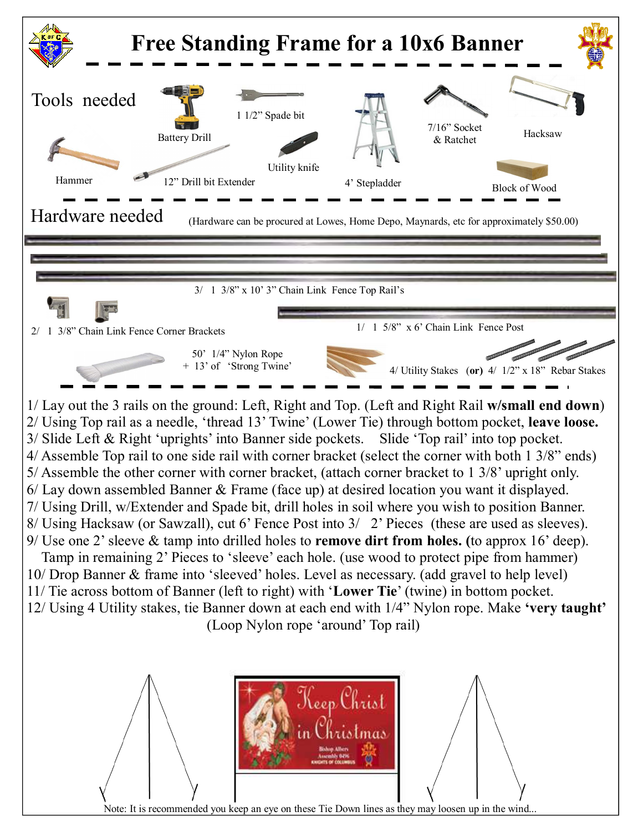